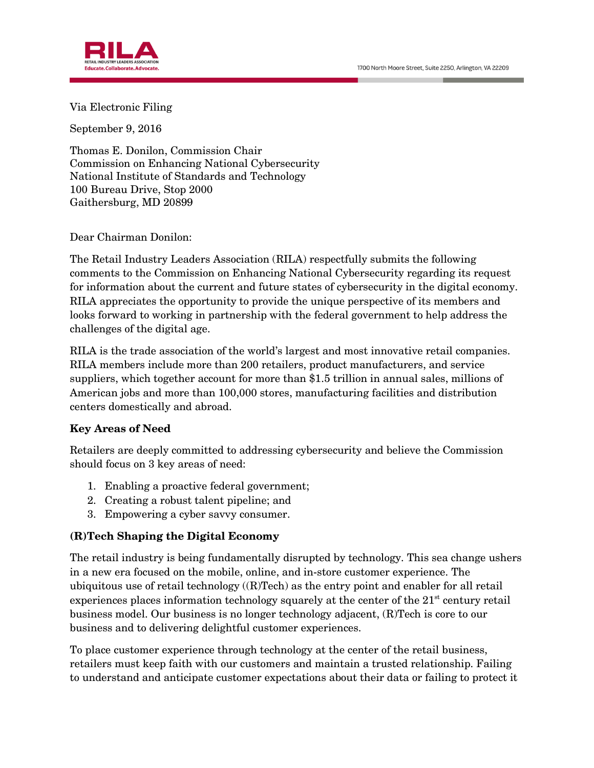1700 North Moore Street, Suite 2250, Arlington, VA 22209



Via Electronic Filing

September 9, 2016

Thomas E. Donilon, Commission Chair Commission on Enhancing National Cybersecurity National Institute of Standards and Technology 100 Bureau Drive, Stop 2000 Gaithersburg, MD 20899

Dear Chairman Donilon:

The Retail Industry Leaders Association (RILA) respectfully submits the following comments to the Commission on Enhancing National Cybersecurity regarding its request for information about the current and future states of cybersecurity in the digital economy. RILA appreciates the opportunity to provide the unique perspective of its members and looks forward to working in partnership with the federal government to help address the challenges of the digital age.

RILA is the trade association of the world's largest and most innovative retail companies. RILA members include more than 200 retailers, product manufacturers, and service suppliers, which together account for more than \$1.5 trillion in annual sales, millions of American jobs and more than 100,000 stores, manufacturing facilities and distribution centers domestically and abroad.

#### **Key Areas of Need**

Retailers are deeply committed to addressing cybersecurity and believe the Commission should focus on 3 key areas of need:

- 1. Enabling a proactive federal government;
- 2. Creating a robust talent pipeline; and
- 3. Empowering a cyber savvy consumer.

### **(R)Tech Shaping the Digital Economy**

The retail industry is being fundamentally disrupted by technology. This sea change ushers in a new era focused on the mobile, online, and in-store customer experience. The ubiquitous use of retail technology  $((R)Tech)$  as the entry point and enabler for all retail experiences places information technology squarely at the center of the  $21<sup>st</sup>$  century retail business model. Our business is no longer technology adjacent, (R)Tech is core to our business and to delivering delightful customer experiences.

To place customer experience through technology at the center of the retail business, retailers must keep faith with our customers and maintain a trusted relationship. Failing to understand and anticipate customer expectations about their data or failing to protect it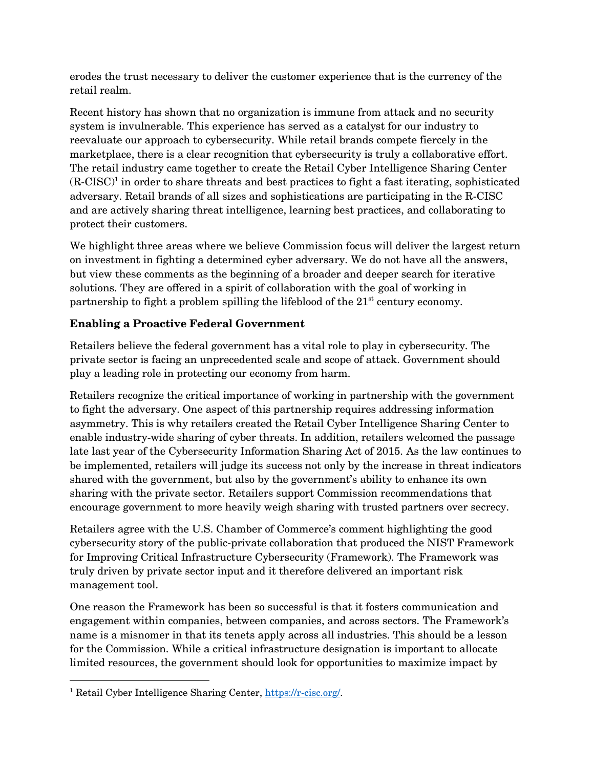erodes the trust necessary to deliver the customer experience that is the currency of the retail realm.

Recent history has shown that no organization is immune from attack and no security system is invulnerable. This experience has served as a catalyst for our industry to reevaluate our approach to cybersecurity. While retail brands compete fiercely in the marketplace, there is a clear recognition that cybersecurity is truly a collaborative effort. The retail industry came together to create the Retail Cyber Intelligence Sharing Center  $(R-CISC)^{1}$  in order to share threats and best practices to fight a fast iterating, sophisticated adversary. Retail brands of all sizes and sophistications are participating in the R-CISC and are actively sharing threat intelligence, learning best practices, and collaborating to protect their customers.

We highlight three areas where we believe Commission focus will deliver the largest return on investment in fighting a determined cyber adversary. We do not have all the answers, but view these comments as the beginning of a broader and deeper search for iterative solutions. They are offered in a spirit of collaboration with the goal of working in partnership to fight a problem spilling the lifeblood of the  $21<sup>st</sup>$  century economy.

# **Enabling a Proactive Federal Government**

Retailers believe the federal government has a vital role to play in cybersecurity. The private sector is facing an unprecedented scale and scope of attack. Government should play a leading role in protecting our economy from harm.

Retailers recognize the critical importance of working in partnership with the government to fight the adversary. One aspect of this partnership requires addressing information asymmetry. This is why retailers created the Retail Cyber Intelligence Sharing Center to enable industry-wide sharing of cyber threats. In addition, retailers welcomed the passage late last year of the Cybersecurity Information Sharing Act of 2015. As the law continues to be implemented, retailers will judge its success not only by the increase in threat indicators shared with the government, but also by the government's ability to enhance its own sharing with the private sector. Retailers support Commission recommendations that encourage government to more heavily weigh sharing with trusted partners over secrecy.

Retailers agree with the U.S. Chamber of Commerce's comment highlighting the good cybersecurity story of the public-private collaboration that produced the NIST Framework for Improving Critical Infrastructure Cybersecurity (Framework). The Framework was truly driven by private sector input and it therefore delivered an important risk management tool.

One reason the Framework has been so successful is that it fosters communication and engagement within companies, between companies, and across sectors. The Framework's name is a misnomer in that its tenets apply across all industries. This should be a lesson for the Commission. While a critical infrastructure designation is important to allocate limited resources, the government should look for opportunities to maximize impact by

l

<sup>&</sup>lt;sup>1</sup> Retail Cyber Intelligence Sharing Center, [https://r-cisc.org/.](https://r-cisc.org/)